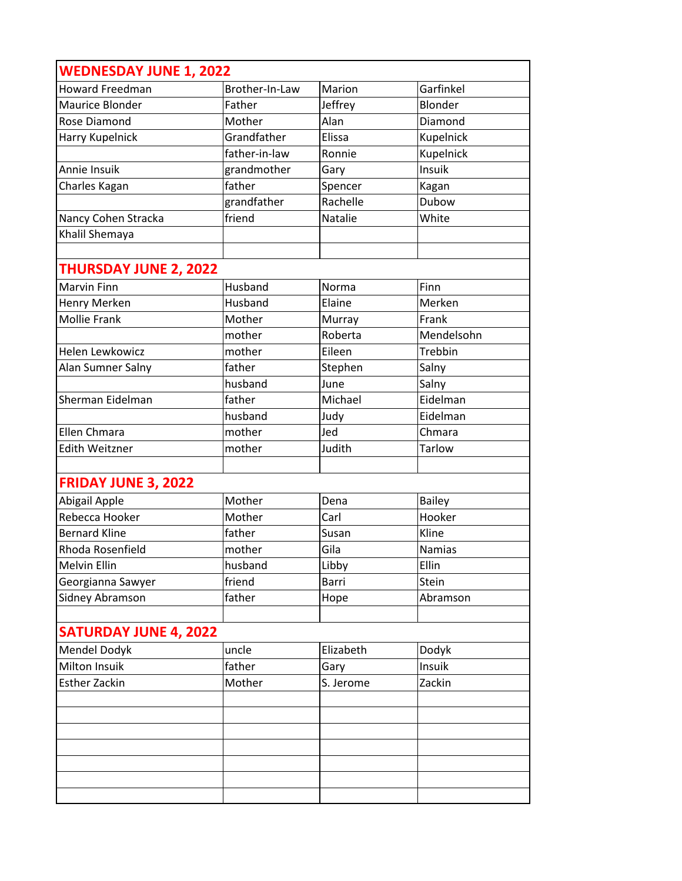| <b>WEDNESDAY JUNE 1, 2022</b> |                |           |               |
|-------------------------------|----------------|-----------|---------------|
| <b>Howard Freedman</b>        | Brother-In-Law | Marion    | Garfinkel     |
| Maurice Blonder               | Father         | Jeffrey   | Blonder       |
| Rose Diamond                  | Mother         | Alan      | Diamond       |
| Harry Kupelnick               | Grandfather    | Elissa    | Kupelnick     |
|                               | father-in-law  | Ronnie    | Kupelnick     |
| Annie Insuik                  | grandmother    | Gary      | Insuik        |
| Charles Kagan                 | father         | Spencer   | Kagan         |
|                               | grandfather    | Rachelle  | Dubow         |
| Nancy Cohen Stracka           | friend         | Natalie   | White         |
| Khalil Shemaya                |                |           |               |
|                               |                |           |               |
| <b>THURSDAY JUNE 2, 2022</b>  |                |           |               |
| <b>Marvin Finn</b>            | Husband        | Norma     | Finn          |
| Henry Merken                  | Husband        | Elaine    | Merken        |
| <b>Mollie Frank</b>           | Mother         | Murray    | Frank         |
|                               | mother         | Roberta   | Mendelsohn    |
| Helen Lewkowicz               | mother         | Eileen    | Trebbin       |
| Alan Sumner Salny             | father         | Stephen   | Salny         |
|                               | husband        | June      | Salny         |
| Sherman Eidelman              | father         | Michael   | Eidelman      |
|                               | husband        | Judy      | Eidelman      |
| <b>Ellen Chmara</b>           | mother         | Jed       | Chmara        |
| <b>Edith Weitzner</b>         | mother         | Judith    | <b>Tarlow</b> |
|                               |                |           |               |
| <b>FRIDAY JUNE 3, 2022</b>    |                |           |               |
| Abigail Apple                 | Mother         | Dena      | <b>Bailey</b> |
| Rebecca Hooker                | Mother         | Carl      | Hooker        |
| <b>Bernard Kline</b>          | father         | Susan     | Kline         |
| Rhoda Rosenfield              | mother         | Gila      | <b>Namias</b> |
| <b>Melvin Ellin</b>           | husband        | Libby     | Ellin         |
| Georgianna Sawyer             | friend         | Barri     | Stein         |
| Sidney Abramson               | father         | Hope      | Abramson      |
|                               |                |           |               |
| <b>SATURDAY JUNE 4, 2022</b>  |                |           |               |
| Mendel Dodyk                  | uncle          | Elizabeth | Dodyk         |
| Milton Insuik                 | father         | Gary      | Insuik        |
| <b>Esther Zackin</b>          | Mother         | S. Jerome | Zackin        |
|                               |                |           |               |
|                               |                |           |               |
|                               |                |           |               |
|                               |                |           |               |
|                               |                |           |               |
|                               |                |           |               |
|                               |                |           |               |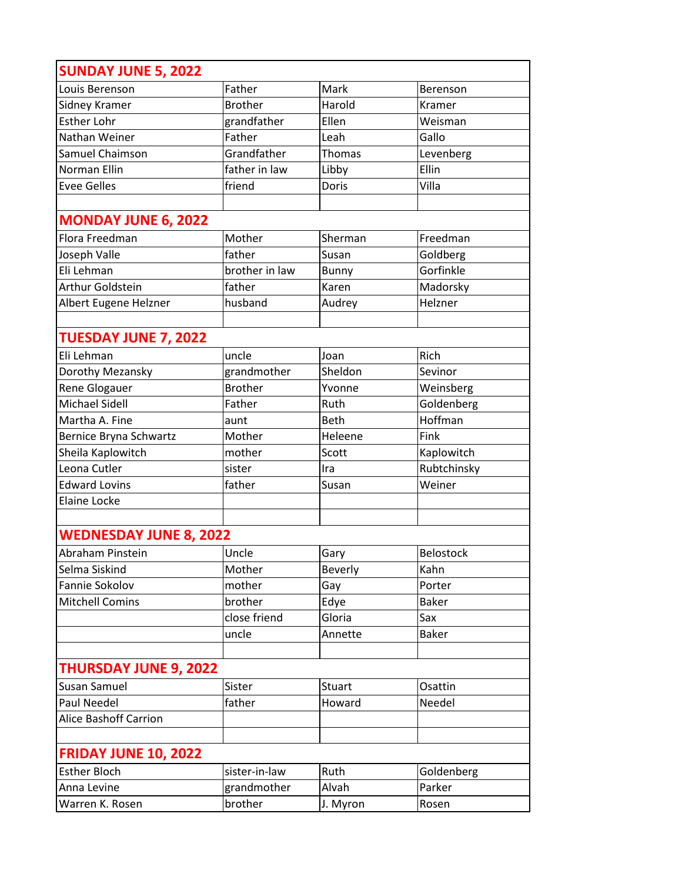| <b>SUNDAY JUNE 5, 2022</b>    |                |                |                  |
|-------------------------------|----------------|----------------|------------------|
| Louis Berenson                | Father         | Mark           | Berenson         |
| Sidney Kramer                 | <b>Brother</b> | Harold         | Kramer           |
| Esther Lohr                   | grandfather    | Ellen          | Weisman          |
| Nathan Weiner                 | Father         | Leah           | Gallo            |
| Samuel Chaimson               | Grandfather    | Thomas         | Levenberg        |
| Norman Ellin                  | father in law  | Libby          | Ellin            |
| <b>Evee Gelles</b>            | friend         | Doris          | Villa            |
|                               |                |                |                  |
| <b>MONDAY JUNE 6, 2022</b>    |                |                |                  |
| Flora Freedman                | Mother         | Sherman        | Freedman         |
| Joseph Valle                  | father         | Susan          | Goldberg         |
| Eli Lehman                    | brother in law | Bunny          | Gorfinkle        |
| Arthur Goldstein              | father         | Karen          | Madorsky         |
| Albert Eugene Helzner         | husband        | Audrey         | Helzner          |
|                               |                |                |                  |
| <b>TUESDAY JUNE 7, 2022</b>   |                |                |                  |
| Eli Lehman                    | uncle          | Joan           | Rich             |
| Dorothy Mezansky              | grandmother    | Sheldon        | Sevinor          |
| Rene Glogauer                 | <b>Brother</b> | Yvonne         | Weinsberg        |
| <b>Michael Sidell</b>         | Father         | Ruth           | Goldenberg       |
| Martha A. Fine                | aunt           | Beth           | Hoffman          |
| Bernice Bryna Schwartz        | Mother         | Heleene        | Fink             |
| Sheila Kaplowitch             | mother         | Scott          | Kaplowitch       |
| Leona Cutler                  | sister         | Ira            | Rubtchinsky      |
| <b>Edward Lovins</b>          | father         | Susan          | Weiner           |
| <b>Elaine Locke</b>           |                |                |                  |
|                               |                |                |                  |
| <b>WEDNESDAY JUNE 8, 2022</b> |                |                |                  |
| Abraham Pinstein              | Uncle          | Gary           | <b>Belostock</b> |
| Selma Siskind                 | Mother         | <b>Beverly</b> | Kahn             |
| Fannie Sokolov                | mother         | Gay            | Porter           |
| <b>Mitchell Comins</b>        | brother        | Edye           | <b>Baker</b>     |
|                               | close friend   | Gloria         | Sax              |
|                               | uncle          | Annette        | <b>Baker</b>     |
|                               |                |                |                  |
| <b>THURSDAY JUNE 9, 2022</b>  |                |                |                  |
| Susan Samuel                  | Sister         | <b>Stuart</b>  | Osattin          |
| <b>Paul Needel</b>            | father         | Howard         | Needel           |
| <b>Alice Bashoff Carrion</b>  |                |                |                  |
|                               |                |                |                  |
| <b>FRIDAY JUNE 10, 2022</b>   |                |                |                  |
| <b>Esther Bloch</b>           | sister-in-law  | Ruth           | Goldenberg       |
| Anna Levine                   | grandmother    | Alvah          | Parker           |
| Warren K. Rosen               | brother        | J. Myron       | Rosen            |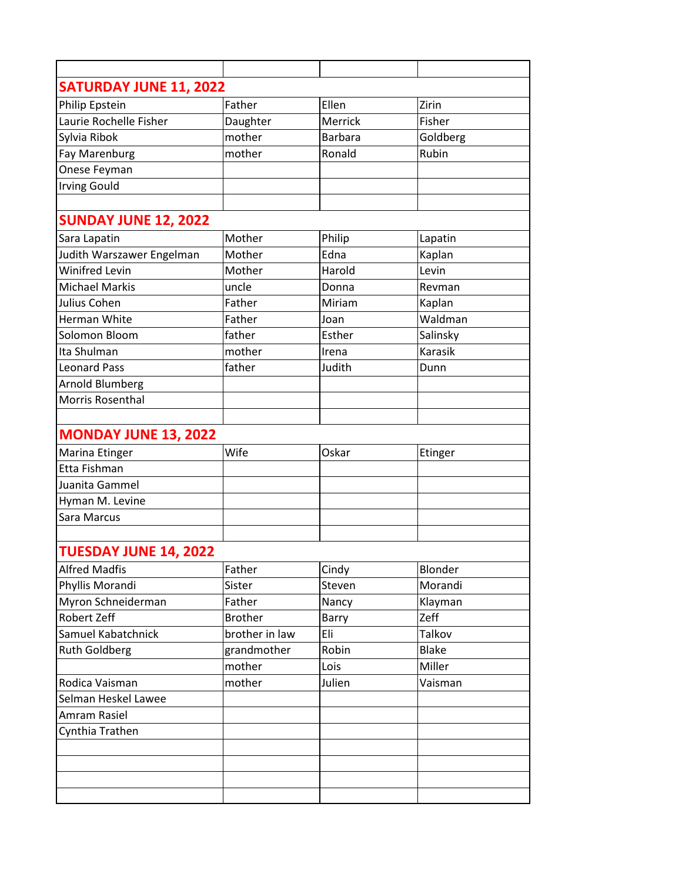| <b>SATURDAY JUNE 11, 2022</b> |                |                |                |
|-------------------------------|----------------|----------------|----------------|
| Philip Epstein                | Father         | Ellen          | Zirin          |
| Laurie Rochelle Fisher        | Daughter       | Merrick        | Fisher         |
| Sylvia Ribok                  | mother         | <b>Barbara</b> | Goldberg       |
| Fay Marenburg                 | mother         | Ronald         | Rubin          |
| Onese Feyman                  |                |                |                |
| <b>Irving Gould</b>           |                |                |                |
|                               |                |                |                |
| <b>SUNDAY JUNE 12, 2022</b>   |                |                |                |
| Sara Lapatin                  | Mother         | Philip         | Lapatin        |
| Judith Warszawer Engelman     | Mother         | Edna           | Kaplan         |
| <b>Winifred Levin</b>         | Mother         | Harold         | Levin          |
| <b>Michael Markis</b>         | uncle          | Donna          | Revman         |
| Julius Cohen                  | Father         | Miriam         | Kaplan         |
| <b>Herman White</b>           | Father         | Joan           | Waldman        |
| Solomon Bloom                 | father         | Esther         | Salinsky       |
| Ita Shulman                   | mother         | Irena          | <b>Karasik</b> |
| <b>Leonard Pass</b>           | father         | Judith         | Dunn           |
| <b>Arnold Blumberg</b>        |                |                |                |
| Morris Rosenthal              |                |                |                |
|                               |                |                |                |
| <b>MONDAY JUNE 13, 2022</b>   |                |                |                |
| Marina Etinger                | Wife           | Oskar          | Etinger        |
| Etta Fishman                  |                |                |                |
| Juanita Gammel                |                |                |                |
| Hyman M. Levine               |                |                |                |
| Sara Marcus                   |                |                |                |
|                               |                |                |                |
| <b>TUESDAY JUNE 14, 2022</b>  |                |                |                |
| <b>Alfred Madfis</b>          | Father         | Cindy          | Blonder        |
| Phyllis Morandi               | Sister         | Steven         | Morandi        |
| Myron Schneiderman            | Father         | Nancy          | Klayman        |
| Robert Zeff                   | <b>Brother</b> | Barry          | Zeff           |
| Samuel Kabatchnick            | brother in law | Eli            | Talkov         |
| <b>Ruth Goldberg</b>          | grandmother    | Robin          | <b>Blake</b>   |
|                               | mother         | Lois           | Miller         |
| Rodica Vaisman                | mother         | Julien         | Vaisman        |
| Selman Heskel Lawee           |                |                |                |
| Amram Rasiel                  |                |                |                |
| Cynthia Trathen               |                |                |                |
|                               |                |                |                |
|                               |                |                |                |
|                               |                |                |                |
|                               |                |                |                |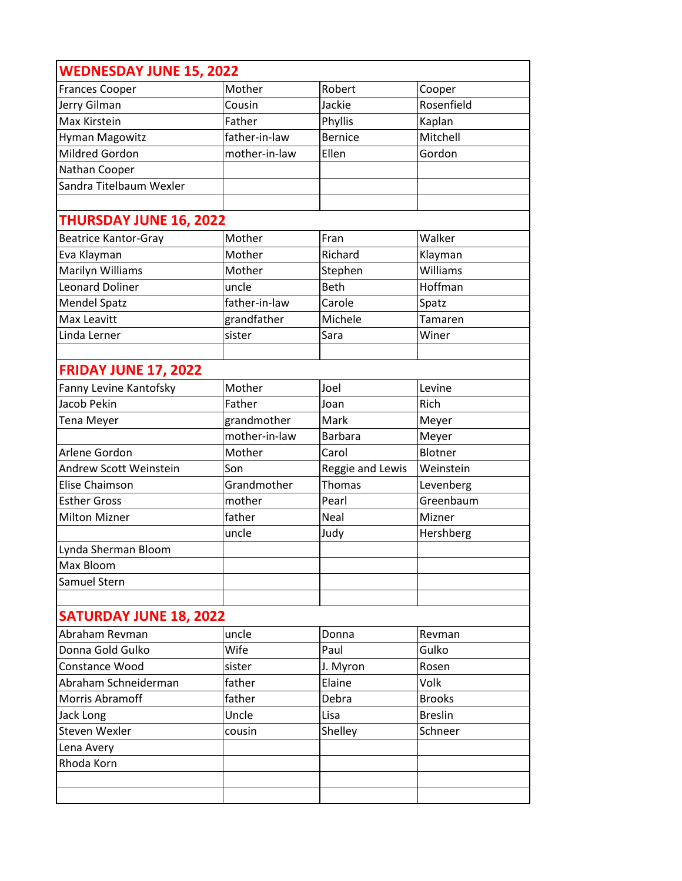| <b>WEDNESDAY JUNE 15, 2022</b> |               |                  |                |
|--------------------------------|---------------|------------------|----------------|
| <b>Frances Cooper</b>          | Mother        | Robert           | Cooper         |
| Jerry Gilman                   | Cousin        | Jackie           | Rosenfield     |
| Max Kirstein                   | Father        | Phyllis          | Kaplan         |
| Hyman Magowitz                 | father-in-law | <b>Bernice</b>   | Mitchell       |
| <b>Mildred Gordon</b>          | mother-in-law | Ellen            | Gordon         |
| Nathan Cooper                  |               |                  |                |
| Sandra Titelbaum Wexler        |               |                  |                |
|                                |               |                  |                |
| <b>THURSDAY JUNE 16, 2022</b>  |               |                  |                |
| <b>Beatrice Kantor-Gray</b>    | Mother        | Fran             | Walker         |
| Eva Klayman                    | Mother        | Richard          | Klayman        |
| Marilyn Williams               | Mother        | Stephen          | Williams       |
| <b>Leonard Doliner</b>         | uncle         | <b>Beth</b>      | Hoffman        |
| <b>Mendel Spatz</b>            | father-in-law | Carole           | Spatz          |
| Max Leavitt                    | grandfather   | Michele          | Tamaren        |
| Linda Lerner                   | sister        | Sara             | Winer          |
| <b>FRIDAY JUNE 17, 2022</b>    |               |                  |                |
|                                |               |                  |                |
| Fanny Levine Kantofsky         | Mother        | Joel             | Levine         |
| Jacob Pekin                    | Father        | Joan             | Rich           |
| <b>Tena Meyer</b>              | grandmother   | Mark             | Meyer          |
|                                | mother-in-law | <b>Barbara</b>   | Meyer          |
| Arlene Gordon                  | Mother        | Carol            | Blotner        |
| Andrew Scott Weinstein         | Son           | Reggie and Lewis | Weinstein      |
| Elise Chaimson                 | Grandmother   | Thomas           | Levenberg      |
| <b>Esther Gross</b>            | mother        | Pearl            | Greenbaum      |
| <b>Milton Mizner</b>           | father        | Neal             | Mizner         |
|                                | uncle         | Judy             | Hershberg      |
| Lynda Sherman Bloom            |               |                  |                |
| Max Bloom                      |               |                  |                |
| Samuel Stern                   |               |                  |                |
| <b>SATURDAY JUNE 18, 2022</b>  |               |                  |                |
| Abraham Revman                 | uncle         | Donna            | Revman         |
| Donna Gold Gulko               | Wife          | Paul             | Gulko          |
| Constance Wood                 | sister        | J. Myron         | Rosen          |
| Abraham Schneiderman           | father        | Elaine           | Volk           |
| Morris Abramoff                | father        | Debra            | <b>Brooks</b>  |
| Jack Long                      | Uncle         | Lisa             | <b>Breslin</b> |
| Steven Wexler                  | cousin        | Shelley          | Schneer        |
| Lena Avery                     |               |                  |                |
|                                |               |                  |                |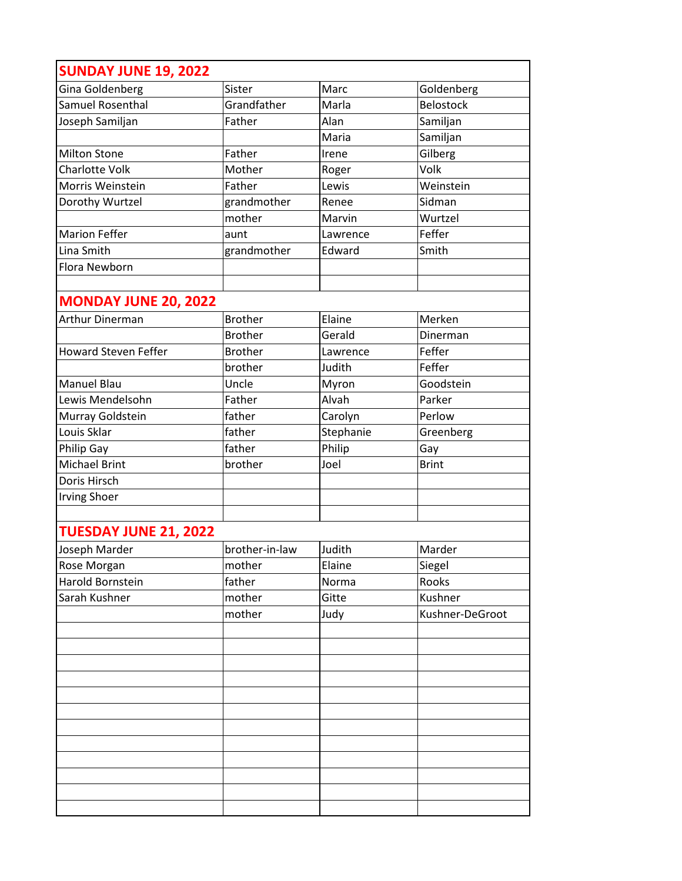| <b>SUNDAY JUNE 19, 2022</b>  |                |           |                  |
|------------------------------|----------------|-----------|------------------|
| <b>Gina Goldenberg</b>       | Sister         | Marc      | Goldenberg       |
| Samuel Rosenthal             | Grandfather    | Marla     | <b>Belostock</b> |
| Joseph Samiljan              | Father         | Alan      | Samiljan         |
|                              |                | Maria     | Samiljan         |
| <b>Milton Stone</b>          | Father         | Irene     | Gilberg          |
| <b>Charlotte Volk</b>        | Mother         | Roger     | Volk             |
| Morris Weinstein             | Father         | Lewis     | Weinstein        |
| Dorothy Wurtzel              | grandmother    | Renee     | Sidman           |
|                              | mother         | Marvin    | Wurtzel          |
| <b>Marion Feffer</b>         | aunt           | Lawrence  | Feffer           |
| Lina Smith                   | grandmother    | Edward    | Smith            |
| Flora Newborn                |                |           |                  |
|                              |                |           |                  |
| <b>MONDAY JUNE 20, 2022</b>  |                |           |                  |
| <b>Arthur Dinerman</b>       | <b>Brother</b> | Elaine    | Merken           |
|                              | <b>Brother</b> | Gerald    | Dinerman         |
| <b>Howard Steven Feffer</b>  | <b>Brother</b> | Lawrence  | Feffer           |
|                              | brother        | Judith    | Feffer           |
| <b>Manuel Blau</b>           | Uncle          | Myron     | Goodstein        |
| Lewis Mendelsohn             | Father         | Alvah     | Parker           |
| Murray Goldstein             | father         | Carolyn   | Perlow           |
| Louis Sklar                  | father         | Stephanie | Greenberg        |
| Philip Gay                   | father         | Philip    | Gay              |
| <b>Michael Brint</b>         | brother        | Joel      | <b>Brint</b>     |
| Doris Hirsch                 |                |           |                  |
| <b>Irving Shoer</b>          |                |           |                  |
|                              |                |           |                  |
| <b>TUESDAY JUNE 21, 2022</b> |                |           |                  |
| Joseph Marder                | brother-in-law | Judith    | Marder           |
| Rose Morgan                  | mother         | Elaine    | Siegel           |
| Harold Bornstein             | father         | Norma     | Rooks            |
| Sarah Kushner                | mother         | Gitte     | Kushner          |
|                              | mother         | Judy      | Kushner-DeGroot  |
|                              |                |           |                  |
|                              |                |           |                  |
|                              |                |           |                  |
|                              |                |           |                  |
|                              |                |           |                  |
|                              |                |           |                  |
|                              |                |           |                  |
|                              |                |           |                  |
|                              |                |           |                  |
|                              |                |           |                  |
|                              |                |           |                  |
|                              |                |           |                  |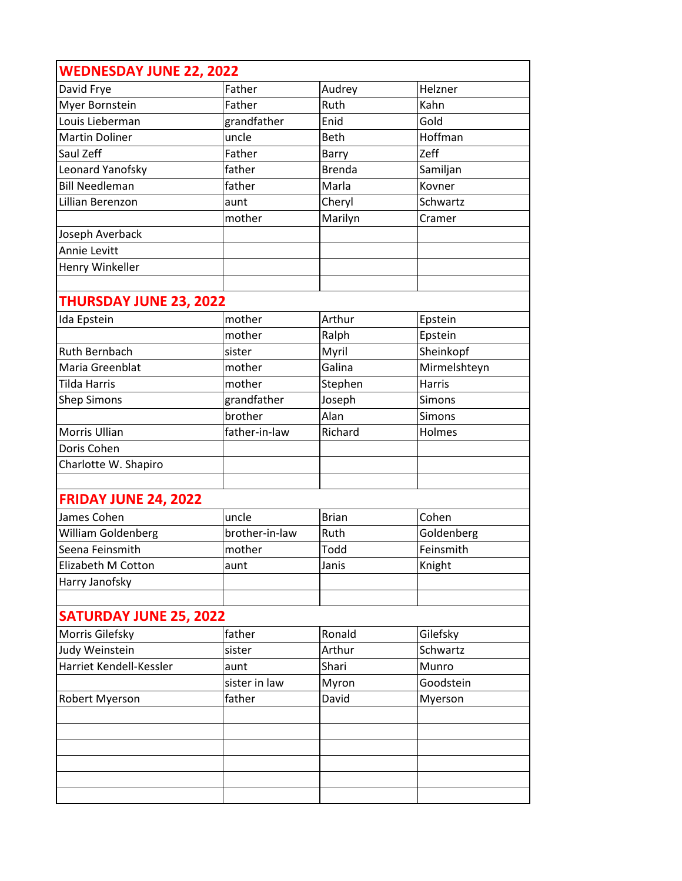| <b>WEDNESDAY JUNE 22, 2022</b> |                |               |               |
|--------------------------------|----------------|---------------|---------------|
| David Frye                     | Father         | Audrey        | Helzner       |
| Myer Bornstein                 | Father         | Ruth          | Kahn          |
| Louis Lieberman                | grandfather    | Enid          | Gold          |
| <b>Martin Doliner</b>          | uncle          | <b>Beth</b>   | Hoffman       |
| Saul Zeff                      | Father         | Barry         | Zeff          |
| Leonard Yanofsky               | father         | <b>Brenda</b> | Samiljan      |
| <b>Bill Needleman</b>          | father         | Marla         | Kovner        |
| Lillian Berenzon               | aunt           | Cheryl        | Schwartz      |
|                                | mother         | Marilyn       | Cramer        |
| Joseph Averback                |                |               |               |
| Annie Levitt                   |                |               |               |
| Henry Winkeller                |                |               |               |
|                                |                |               |               |
| <b>THURSDAY JUNE 23, 2022</b>  |                |               |               |
| Ida Epstein                    | mother         | Arthur        | Epstein       |
|                                | mother         | Ralph         | Epstein       |
| <b>Ruth Bernbach</b>           | sister         | Myril         | Sheinkopf     |
| Maria Greenblat                | mother         | Galina        | Mirmelshteyn  |
| <b>Tilda Harris</b>            | mother         | Stephen       | <b>Harris</b> |
| <b>Shep Simons</b>             | grandfather    | Joseph        | Simons        |
|                                | brother        | Alan          | Simons        |
| Morris Ullian                  | father-in-law  | Richard       | Holmes        |
| Doris Cohen                    |                |               |               |
| Charlotte W. Shapiro           |                |               |               |
|                                |                |               |               |
| <b>FRIDAY JUNE 24, 2022</b>    |                |               |               |
| James Cohen                    | uncle          | <b>Brian</b>  | Cohen         |
| William Goldenberg             | brother-in-law | Ruth          | Goldenberg    |
| Seena Feinsmith                | mother         | Todd          | Feinsmith     |
| Elizabeth M Cotton             | aunt           | Janis         | Knight        |
| Harry Janofsky                 |                |               |               |
|                                |                |               |               |
| <b>SATURDAY JUNE 25, 2022</b>  |                |               |               |
| Morris Gilefsky                | father         | Ronald        | Gilefsky      |
| Judy Weinstein                 | sister         | Arthur        | Schwartz      |
| Harriet Kendell-Kessler        | aunt           | Shari         | Munro         |
|                                | sister in law  | Myron         | Goodstein     |
| Robert Myerson                 | father         | David         | Myerson       |
|                                |                |               |               |
|                                |                |               |               |
|                                |                |               |               |
|                                |                |               |               |
|                                |                |               |               |
|                                |                |               |               |